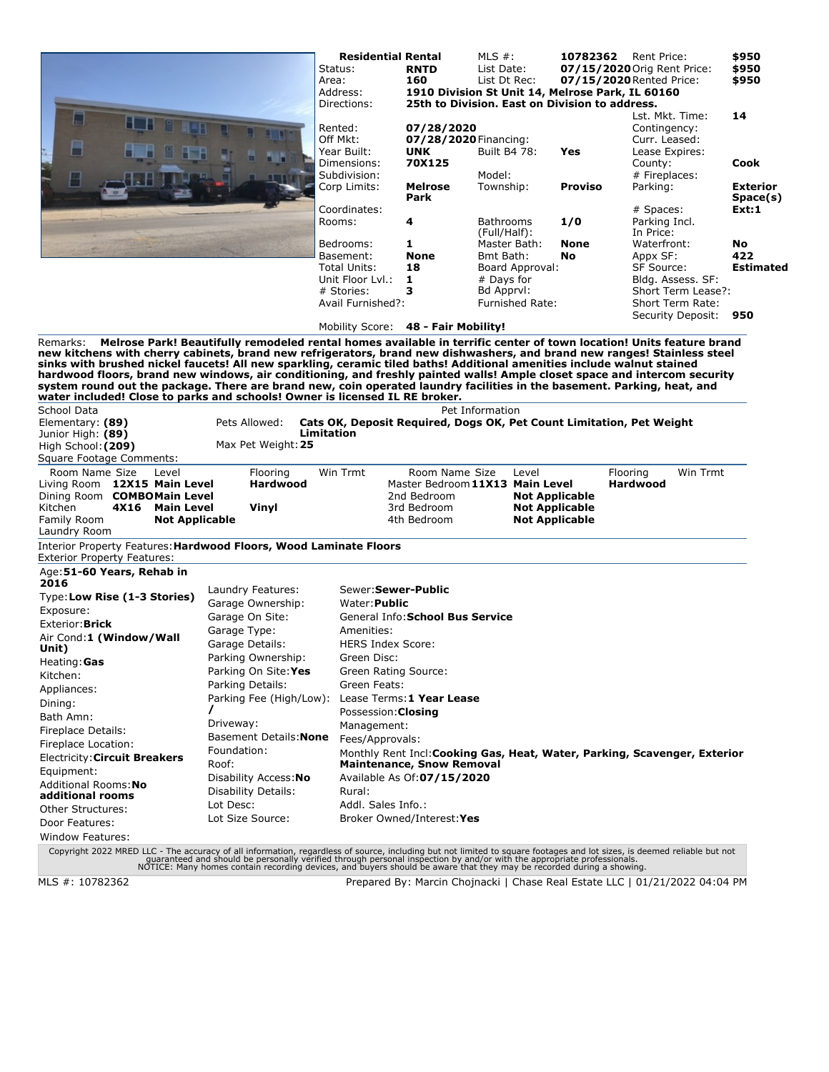|                                                                                                                                                                                                                                                                                                                                                                                                                                                                                                                                                                                                                                     |                                                                                                                                      | <b>Residential Rental</b><br>Status:<br>Area:<br>Address:<br>Directions:<br>Rented: | <b>RNTD</b><br>160<br>1910 Division St Unit 14, Melrose Park, IL 60160<br>25th to Division. East on Division to address.<br>07/28/2020 | MLS $#$ :<br>List Date:<br>List Dt Rec: |                        |                          | <b>10782362</b> Rent Price:<br>07/15/2020 Orig Rent Price:<br>07/15/2020 Rented Price:<br>Contingency: | Lst. Mkt. Time:                           | \$950<br>\$950<br>\$950<br>14 |
|-------------------------------------------------------------------------------------------------------------------------------------------------------------------------------------------------------------------------------------------------------------------------------------------------------------------------------------------------------------------------------------------------------------------------------------------------------------------------------------------------------------------------------------------------------------------------------------------------------------------------------------|--------------------------------------------------------------------------------------------------------------------------------------|-------------------------------------------------------------------------------------|----------------------------------------------------------------------------------------------------------------------------------------|-----------------------------------------|------------------------|--------------------------|--------------------------------------------------------------------------------------------------------|-------------------------------------------|-------------------------------|
|                                                                                                                                                                                                                                                                                                                                                                                                                                                                                                                                                                                                                                     |                                                                                                                                      | Off Mkt:<br>Year Built:<br>Dimensions:<br>Subdivision:                              | 07/28/2020 Financing:<br><b>UNK</b><br>70X125                                                                                          | <b>Built B4 78:</b><br>Model:           |                        | Yes                      | Curr. Leased:<br>Lease Expires:<br>County:<br># Fireplaces:                                            |                                           | Cook                          |
|                                                                                                                                                                                                                                                                                                                                                                                                                                                                                                                                                                                                                                     |                                                                                                                                      | Corp Limits:                                                                        | Melrose<br>Park                                                                                                                        | Township:                               |                        | <b>Proviso</b>           | Parking:                                                                                               |                                           | <b>Exterior</b><br>Space(s)   |
|                                                                                                                                                                                                                                                                                                                                                                                                                                                                                                                                                                                                                                     |                                                                                                                                      | Coordinates:<br>Rooms:                                                              | 4                                                                                                                                      | Bathrooms                               |                        | 1/0                      | # Spaces:<br>Parking Incl.                                                                             |                                           | Ext:1                         |
|                                                                                                                                                                                                                                                                                                                                                                                                                                                                                                                                                                                                                                     |                                                                                                                                      |                                                                                     |                                                                                                                                        | (Full/Half):                            |                        |                          | In Price:                                                                                              |                                           |                               |
|                                                                                                                                                                                                                                                                                                                                                                                                                                                                                                                                                                                                                                     |                                                                                                                                      | Bedrooms:<br>Basement:                                                              | 1<br><b>None</b>                                                                                                                       | Master Bath:<br>Bmt Bath:               |                        | <b>None</b><br><b>No</b> | Waterfront:<br>Appx SF:                                                                                |                                           | <b>No</b><br>422              |
|                                                                                                                                                                                                                                                                                                                                                                                                                                                                                                                                                                                                                                     |                                                                                                                                      | Total Units:                                                                        | 18                                                                                                                                     |                                         | Board Approval:        |                          | SF Source:                                                                                             |                                           | <b>Estimated</b>              |
|                                                                                                                                                                                                                                                                                                                                                                                                                                                                                                                                                                                                                                     |                                                                                                                                      | Unit Floor Lyl.:                                                                    | 1                                                                                                                                      | # Days for                              |                        |                          |                                                                                                        | Bldg. Assess. SF:                         |                               |
|                                                                                                                                                                                                                                                                                                                                                                                                                                                                                                                                                                                                                                     |                                                                                                                                      | # Stories:                                                                          | 3                                                                                                                                      | Bd Apprvl:                              |                        |                          |                                                                                                        | Short Term Lease?:                        |                               |
|                                                                                                                                                                                                                                                                                                                                                                                                                                                                                                                                                                                                                                     |                                                                                                                                      | Avail Furnished?:                                                                   |                                                                                                                                        |                                         | <b>Furnished Rate:</b> |                          |                                                                                                        | Short Term Rate:<br>Security Deposit: 950 |                               |
|                                                                                                                                                                                                                                                                                                                                                                                                                                                                                                                                                                                                                                     |                                                                                                                                      | Mobility Score: 48 - Fair Mobility!                                                 |                                                                                                                                        |                                         |                        |                          |                                                                                                        |                                           |                               |
| new kitchens with cherry cabinets, brand new refrigerators, brand new dishwashers, and brand new ranges! Stainless steel<br>sinks with brushed nickel faucets! All new sparkling, ceramic tiled baths! Additional amenities include walnut stained<br>hardwood floors, brand new windows, air conditioning, and freshly painted walls! Ample closet space and intercom security<br>system round out the package. There are brand new, coin operated laundry facilities in the basement. Parking, heat, and<br>water included! Close to parks and schools! Owner is licensed IL RE broker.<br><b>School Data</b><br>Elementary: (89) | Melrose Park! Beautifully remodeled rental homes available in terrific center of town location! Units feature brand<br>Pets Allowed: | Cats OK, Deposit Required, Dogs OK, Pet Count Limitation, Pet Weight                |                                                                                                                                        | Pet Information                         |                        |                          |                                                                                                        |                                           |                               |
| Junior High: (89)                                                                                                                                                                                                                                                                                                                                                                                                                                                                                                                                                                                                                   |                                                                                                                                      | <b>Limitation</b>                                                                   |                                                                                                                                        |                                         |                        |                          |                                                                                                        |                                           |                               |
| High School: (209)                                                                                                                                                                                                                                                                                                                                                                                                                                                                                                                                                                                                                  | Max Pet Weight: 25                                                                                                                   |                                                                                     |                                                                                                                                        |                                         |                        |                          |                                                                                                        |                                           |                               |
| Square Footage Comments:<br>Room Name Size<br>Level                                                                                                                                                                                                                                                                                                                                                                                                                                                                                                                                                                                 | Flooring                                                                                                                             | Win Trmt                                                                            | Room Name Size                                                                                                                         |                                         | Level                  |                          | Flooring                                                                                               | Win Trmt                                  |                               |
| Living Room 12X15 Main Level                                                                                                                                                                                                                                                                                                                                                                                                                                                                                                                                                                                                        | <b>Hardwood</b>                                                                                                                      |                                                                                     | Master Bedroom 11X13 Main Level                                                                                                        |                                         |                        |                          | <b>Hardwood</b>                                                                                        |                                           |                               |
| Dining Room COMBOMain Level                                                                                                                                                                                                                                                                                                                                                                                                                                                                                                                                                                                                         |                                                                                                                                      |                                                                                     | 2nd Bedroom                                                                                                                            |                                         | <b>Not Applicable</b>  |                          |                                                                                                        |                                           |                               |
| Kitchen<br>4X16 Main Level                                                                                                                                                                                                                                                                                                                                                                                                                                                                                                                                                                                                          | Vinyl                                                                                                                                |                                                                                     | 3rd Bedroom                                                                                                                            |                                         | <b>Not Applicable</b>  |                          |                                                                                                        |                                           |                               |
| Family Room<br><b>Not Applicable</b>                                                                                                                                                                                                                                                                                                                                                                                                                                                                                                                                                                                                |                                                                                                                                      |                                                                                     | 4th Bedroom                                                                                                                            |                                         | <b>Not Applicable</b>  |                          |                                                                                                        |                                           |                               |
| <b>Exterior Property Features:</b>                                                                                                                                                                                                                                                                                                                                                                                                                                                                                                                                                                                                  | Laundry Room<br>Interior Property Features: Hardwood Floors, Wood Laminate Floors                                                    |                                                                                     |                                                                                                                                        |                                         |                        |                          |                                                                                                        |                                           |                               |
| Age: 51-60 Years, Rehab in<br>2016                                                                                                                                                                                                                                                                                                                                                                                                                                                                                                                                                                                                  |                                                                                                                                      |                                                                                     |                                                                                                                                        |                                         |                        |                          |                                                                                                        |                                           |                               |
| Type: Low Rise (1-3 Stories)                                                                                                                                                                                                                                                                                                                                                                                                                                                                                                                                                                                                        | Laundry Features:                                                                                                                    | Sewer: Sewer-Public                                                                 |                                                                                                                                        |                                         |                        |                          |                                                                                                        |                                           |                               |
| Exposure:                                                                                                                                                                                                                                                                                                                                                                                                                                                                                                                                                                                                                           | Garage Ownership:                                                                                                                    | Water: <b>Public</b>                                                                |                                                                                                                                        |                                         |                        |                          |                                                                                                        |                                           |                               |
| Exterior: Brick                                                                                                                                                                                                                                                                                                                                                                                                                                                                                                                                                                                                                     | Garage On Site:                                                                                                                      |                                                                                     | General Info: School Bus Service                                                                                                       |                                         |                        |                          |                                                                                                        |                                           |                               |
| Air Cond:1 (Window/Wall                                                                                                                                                                                                                                                                                                                                                                                                                                                                                                                                                                                                             | Garage Type:<br>Garage Details:                                                                                                      | Amenities:<br><b>HERS Index Score:</b>                                              |                                                                                                                                        |                                         |                        |                          |                                                                                                        |                                           |                               |
| Unit)                                                                                                                                                                                                                                                                                                                                                                                                                                                                                                                                                                                                                               | Parking Ownership:                                                                                                                   | Green Disc:                                                                         |                                                                                                                                        |                                         |                        |                          |                                                                                                        |                                           |                               |
| Heating: Gas                                                                                                                                                                                                                                                                                                                                                                                                                                                                                                                                                                                                                        | Parking On Site: Yes                                                                                                                 | Green Rating Source:                                                                |                                                                                                                                        |                                         |                        |                          |                                                                                                        |                                           |                               |
| Kitchen:                                                                                                                                                                                                                                                                                                                                                                                                                                                                                                                                                                                                                            | Parking Details:                                                                                                                     | Green Feats:                                                                        |                                                                                                                                        |                                         |                        |                          |                                                                                                        |                                           |                               |
| Appliances:<br>Dining:                                                                                                                                                                                                                                                                                                                                                                                                                                                                                                                                                                                                              | Parking Fee (High/Low):                                                                                                              |                                                                                     | Lease Terms: 1 Year Lease                                                                                                              |                                         |                        |                          |                                                                                                        |                                           |                               |
| Bath Amn:                                                                                                                                                                                                                                                                                                                                                                                                                                                                                                                                                                                                                           |                                                                                                                                      | Possession: Closing                                                                 |                                                                                                                                        |                                         |                        |                          |                                                                                                        |                                           |                               |
| Fireplace Details:                                                                                                                                                                                                                                                                                                                                                                                                                                                                                                                                                                                                                  | Driveway:                                                                                                                            | Management:                                                                         |                                                                                                                                        |                                         |                        |                          |                                                                                                        |                                           |                               |
| Fireplace Location:                                                                                                                                                                                                                                                                                                                                                                                                                                                                                                                                                                                                                 | Basement Details: None                                                                                                               | Fees/Approvals:                                                                     |                                                                                                                                        |                                         |                        |                          |                                                                                                        |                                           |                               |
| Electricity: Circuit Breakers                                                                                                                                                                                                                                                                                                                                                                                                                                                                                                                                                                                                       | Foundation:                                                                                                                          |                                                                                     | Monthly Rent Incl: Cooking Gas, Heat, Water, Parking, Scavenger, Exterior                                                              |                                         |                        |                          |                                                                                                        |                                           |                               |
| Equipment:                                                                                                                                                                                                                                                                                                                                                                                                                                                                                                                                                                                                                          | Roof:<br>Disability Access: No                                                                                                       |                                                                                     | <b>Maintenance, Snow Removal</b><br>Available As Of: 07/15/2020                                                                        |                                         |                        |                          |                                                                                                        |                                           |                               |
| Additional Rooms: No                                                                                                                                                                                                                                                                                                                                                                                                                                                                                                                                                                                                                | Disability Details:                                                                                                                  | Rural:                                                                              |                                                                                                                                        |                                         |                        |                          |                                                                                                        |                                           |                               |
| additional rooms                                                                                                                                                                                                                                                                                                                                                                                                                                                                                                                                                                                                                    | Lot Desc:                                                                                                                            | Addl. Sales Info.:                                                                  |                                                                                                                                        |                                         |                        |                          |                                                                                                        |                                           |                               |
| Other Structures:                                                                                                                                                                                                                                                                                                                                                                                                                                                                                                                                                                                                                   | Lot Size Source:                                                                                                                     |                                                                                     | Broker Owned/Interest: Yes                                                                                                             |                                         |                        |                          |                                                                                                        |                                           |                               |
| Door Features:<br><b>Window Features:</b>                                                                                                                                                                                                                                                                                                                                                                                                                                                                                                                                                                                           |                                                                                                                                      |                                                                                     |                                                                                                                                        |                                         |                        |                          |                                                                                                        |                                           |                               |

Copyright 2022 MRED LLC - The accuracy of all information, regardless of source, including but not limited to square footages and lot sizes, is deemed reliable but not<br>guaranteed and should be personally verified through p

MLS #: 10782362 Prepared By: Marcin Chojnacki | Chase Real Estate LLC | 01/21/2022 04:04 PM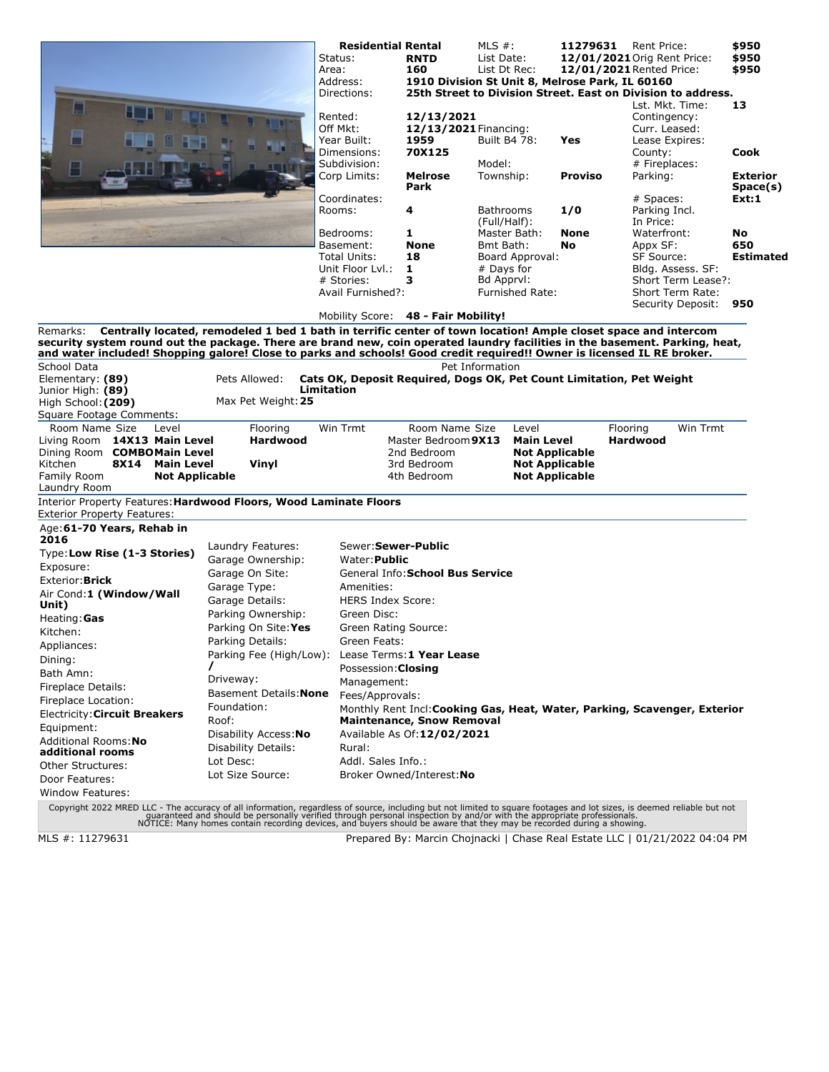|                                                                                                                                                                                                                                                                                    |                                                                                                                | <b>Residential Rental</b><br>Status:<br>Area:<br>Address:<br>Directions:<br>Rented:<br>Off Mkt: | <b>RNTD</b><br>160<br>12/13/2021<br>12/13/2021 Financing:                          | MLS $#$ :<br>11279631<br>List Date:<br>List Dt Rec:<br>1910 Division St Unit 8, Melrose Park, IL 60160<br>25th Street to Division Street. East on Division to address. |                | Rent Price:<br>12/01/2021 Orig Rent Price:<br>12/01/2021 Rented Price:<br>Lst. Mkt. Time:<br>Contingency:<br>Curr. Leased: | \$950<br>\$950<br>\$950<br>13 |
|------------------------------------------------------------------------------------------------------------------------------------------------------------------------------------------------------------------------------------------------------------------------------------|----------------------------------------------------------------------------------------------------------------|-------------------------------------------------------------------------------------------------|------------------------------------------------------------------------------------|------------------------------------------------------------------------------------------------------------------------------------------------------------------------|----------------|----------------------------------------------------------------------------------------------------------------------------|-------------------------------|
|                                                                                                                                                                                                                                                                                    |                                                                                                                | Year Built:<br>Dimensions:<br>Subdivision:                                                      | 1959<br>70X125                                                                     | <b>Built B4 78:</b><br>Model:                                                                                                                                          | Yes            | Lease Expires:<br>County:<br># Fireplaces:                                                                                 | Cook                          |
|                                                                                                                                                                                                                                                                                    |                                                                                                                | Corp Limits:                                                                                    | <b>Melrose</b><br>Park                                                             | Township:                                                                                                                                                              | <b>Proviso</b> | Parking:                                                                                                                   | <b>Exterior</b><br>Space(s)   |
|                                                                                                                                                                                                                                                                                    |                                                                                                                | Coordinates:<br>Rooms:                                                                          | 4                                                                                  | <b>Bathrooms</b>                                                                                                                                                       | 1/0            | # Spaces:<br>Parking Incl.                                                                                                 | Ext:1                         |
|                                                                                                                                                                                                                                                                                    |                                                                                                                | Bedrooms:                                                                                       | 1                                                                                  | (Full/Half):<br>Master Bath:                                                                                                                                           | None           | In Price:<br>Waterfront:                                                                                                   | No                            |
|                                                                                                                                                                                                                                                                                    |                                                                                                                | Basement:                                                                                       | <b>None</b>                                                                        | Bmt Bath:                                                                                                                                                              | No             | Appx SF:                                                                                                                   | 650                           |
|                                                                                                                                                                                                                                                                                    |                                                                                                                | Total Units:                                                                                    | 18                                                                                 | Board Approval:                                                                                                                                                        |                | <b>SF Source:</b>                                                                                                          | <b>Estimated</b>              |
|                                                                                                                                                                                                                                                                                    |                                                                                                                | Unit Floor Lyl.:<br># Stories:                                                                  | 1<br>з                                                                             | # Days for<br>Bd Apprvl:                                                                                                                                               |                | Bldg. Assess. SF:<br>Short Term Lease?:                                                                                    |                               |
|                                                                                                                                                                                                                                                                                    |                                                                                                                | Avail Furnished?:                                                                               |                                                                                    | <b>Furnished Rate:</b>                                                                                                                                                 |                | Short Term Rate:<br>Security Deposit:                                                                                      | 950                           |
|                                                                                                                                                                                                                                                                                    |                                                                                                                | Mobility Score: 48 - Fair Mobility!                                                             |                                                                                    |                                                                                                                                                                        |                |                                                                                                                            |                               |
| Remarks:<br>security system round out the package. There are brand new, coin operated laundry facilities in the basement. Parking, heat,<br>and water included! Shopping galore! Close to parks and schools! Good credit required!! Owner is licensed IL RE broker.<br>School Data | Centrally located, remodeled 1 bed 1 bath in terrific center of town location! Ample closet space and intercom |                                                                                                 |                                                                                    | Pet Information                                                                                                                                                        |                |                                                                                                                            |                               |
| Elementary: (89)<br>Junior High: (89)<br>High School: (209)<br>Square Footage Comments:                                                                                                                                                                                            | Pets Allowed:<br>Limitation<br>Max Pet Weight: 25                                                              |                                                                                                 |                                                                                    | Cats OK, Deposit Required, Dogs OK, Pet Count Limitation, Pet Weight                                                                                                   |                |                                                                                                                            |                               |
| Room Name Size<br>Level<br>Living Room 14X13 Main Level<br>Dining Room COMBOMain Level<br>Kitchen<br><b>8X14</b><br><b>Main Level</b><br>Family Room<br><b>Not Applicable</b><br>Laundry Room                                                                                      | Flooring<br><b>Hardwood</b><br>Vinyl                                                                           | Win Trmt                                                                                        | Room Name Size<br>Master Bedroom 9X13<br>2nd Bedroom<br>3rd Bedroom<br>4th Bedroom | Level<br><b>Main Level</b><br><b>Not Applicable</b><br><b>Not Applicable</b><br><b>Not Applicable</b>                                                                  |                | Win Trmt<br>Flooring<br>Hardwood                                                                                           |                               |
| Interior Property Features: Hardwood Floors, Wood Laminate Floors<br><b>Exterior Property Features:</b>                                                                                                                                                                            |                                                                                                                |                                                                                                 |                                                                                    |                                                                                                                                                                        |                |                                                                                                                            |                               |
| Age: 61-70 Years, Rehab in<br>2016                                                                                                                                                                                                                                                 |                                                                                                                |                                                                                                 |                                                                                    |                                                                                                                                                                        |                |                                                                                                                            |                               |
| Type: Low Rise (1-3 Stories)                                                                                                                                                                                                                                                       | Laundry Features:                                                                                              | Sewer: Sewer-Public<br>Water: Public                                                            |                                                                                    |                                                                                                                                                                        |                |                                                                                                                            |                               |
| Exposure:                                                                                                                                                                                                                                                                          | Garage Ownership:<br>Garage On Site:                                                                           |                                                                                                 | General Info: School Bus Service                                                   |                                                                                                                                                                        |                |                                                                                                                            |                               |
| Exterior: Brick                                                                                                                                                                                                                                                                    | Garage Type:                                                                                                   | Amenities:                                                                                      |                                                                                    |                                                                                                                                                                        |                |                                                                                                                            |                               |
| Air Cond:1 (Window/Wall                                                                                                                                                                                                                                                            | Garage Details:                                                                                                | <b>HERS Index Score:</b>                                                                        |                                                                                    |                                                                                                                                                                        |                |                                                                                                                            |                               |
| Unit)                                                                                                                                                                                                                                                                              | Parking Ownership:                                                                                             | Green Disc:                                                                                     |                                                                                    |                                                                                                                                                                        |                |                                                                                                                            |                               |
| Heating: Gas<br>Kitchen:                                                                                                                                                                                                                                                           | Parking On Site: Yes                                                                                           | Green Rating Source:                                                                            |                                                                                    |                                                                                                                                                                        |                |                                                                                                                            |                               |
|                                                                                                                                                                                                                                                                                    | Parking Details:                                                                                               | Green Feats:                                                                                    |                                                                                    |                                                                                                                                                                        |                |                                                                                                                            |                               |
| Appliances:<br>Dining:                                                                                                                                                                                                                                                             | Parking Fee (High/Low): Lease Terms: 1 Year Lease                                                              |                                                                                                 |                                                                                    |                                                                                                                                                                        |                |                                                                                                                            |                               |
| Bath Amn:                                                                                                                                                                                                                                                                          |                                                                                                                | Possession: Closing                                                                             |                                                                                    |                                                                                                                                                                        |                |                                                                                                                            |                               |
| Fireplace Details:                                                                                                                                                                                                                                                                 | Driveway:                                                                                                      | Management:                                                                                     |                                                                                    |                                                                                                                                                                        |                |                                                                                                                            |                               |
| Fireplace Location:                                                                                                                                                                                                                                                                | Basement Details: None                                                                                         | Fees/Approvals:                                                                                 |                                                                                    |                                                                                                                                                                        |                |                                                                                                                            |                               |
| Electricity: Circuit Breakers                                                                                                                                                                                                                                                      | Foundation:                                                                                                    | Monthly Rent Incl: Cooking Gas, Heat, Water, Parking, Scavenger, Exterior                       |                                                                                    |                                                                                                                                                                        |                |                                                                                                                            |                               |
| Equipment:                                                                                                                                                                                                                                                                         | Roof:                                                                                                          |                                                                                                 | <b>Maintenance, Snow Removal</b>                                                   |                                                                                                                                                                        |                |                                                                                                                            |                               |
| Additional Rooms: No                                                                                                                                                                                                                                                               | Disability Access: No                                                                                          |                                                                                                 | Available As Of: 12/02/2021                                                        |                                                                                                                                                                        |                |                                                                                                                            |                               |
| additional rooms                                                                                                                                                                                                                                                                   | Disability Details:                                                                                            | Rural:                                                                                          |                                                                                    |                                                                                                                                                                        |                |                                                                                                                            |                               |
| Other Structures:                                                                                                                                                                                                                                                                  | Lot Desc:<br>Lot Size Source:                                                                                  | Addl. Sales Info.:                                                                              |                                                                                    |                                                                                                                                                                        |                |                                                                                                                            |                               |
| Door Features:                                                                                                                                                                                                                                                                     |                                                                                                                |                                                                                                 | Broker Owned/Interest: No                                                          |                                                                                                                                                                        |                |                                                                                                                            |                               |
| <b>Window Features:</b>                                                                                                                                                                                                                                                            |                                                                                                                |                                                                                                 |                                                                                    |                                                                                                                                                                        |                |                                                                                                                            |                               |
| Copyright 2022 MRED LLC - The accuracy of all information, regardless of source, including but not limited to square footages and lot sizes, is deemed reliable but not<br>quaranteed and should be personally verified through p                                                  |                                                                                                                |                                                                                                 |                                                                                    |                                                                                                                                                                        |                |                                                                                                                            |                               |

MLS #: 11279631 Prepared By: Marcin Chojnacki | Chase Real Estate LLC | 01/21/2022 04:04 PM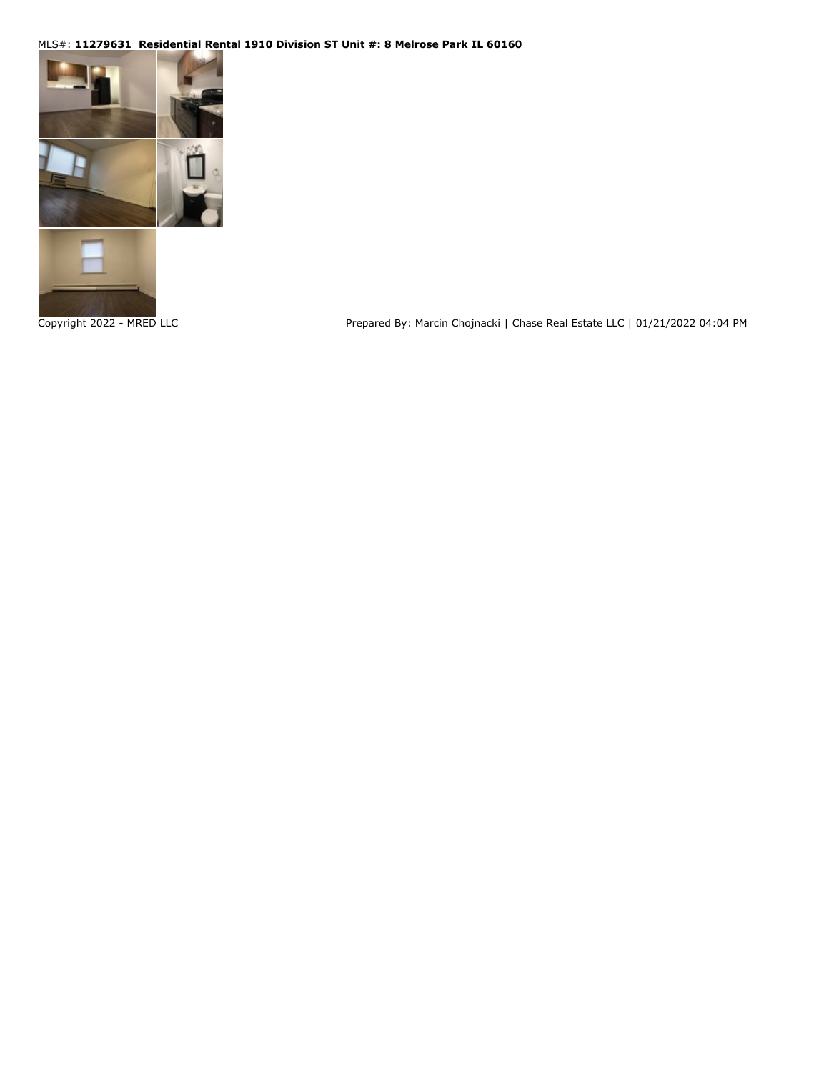## MLS#: **11279631 Residential Rental 1910 Division ST Unit #: 8 Melrose Park IL 60160**



Copyright 2022 - MRED LLC **Prepared By: Marcin Chojnacki | Chase Real Estate LLC | 01/21/2022 04:04 PM**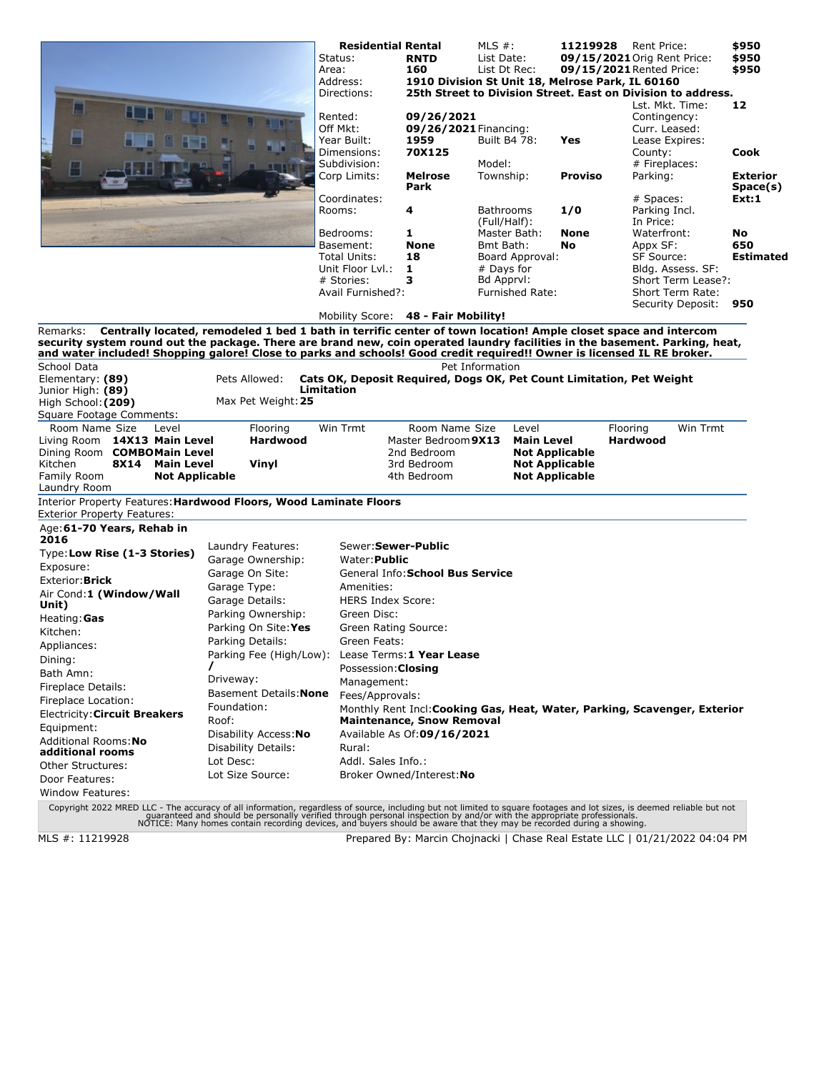|                                                                                                                                                                                                                                                                     |                                                                                                                | <b>Residential Rental</b><br>Status:<br>Area:<br>Address:<br>Directions:                     | <b>RNTD</b><br>160                          | MLS $#$ :<br>List Date:<br>List Dt Rec:<br>1910 Division St Unit 18, Melrose Park, IL 60160 | 11219928 | Rent Price:<br>09/15/2021 Orig Rent Price:<br>09/15/2021 Rented Price:<br>25th Street to Division Street. East on Division to address.                                  | \$950<br>\$950<br>\$950     |  |  |  |
|---------------------------------------------------------------------------------------------------------------------------------------------------------------------------------------------------------------------------------------------------------------------|----------------------------------------------------------------------------------------------------------------|----------------------------------------------------------------------------------------------|---------------------------------------------|---------------------------------------------------------------------------------------------|----------|-------------------------------------------------------------------------------------------------------------------------------------------------------------------------|-----------------------------|--|--|--|
|                                                                                                                                                                                                                                                                     |                                                                                                                | Rented:<br>Off Mkt:<br>Year Built:                                                           | 09/26/2021<br>09/26/2021 Financing:<br>1959 | Built B4 78:                                                                                | Yes      | Lst. Mkt. Time:<br>Contingency:<br>Curr. Leased:<br>Lease Expires:                                                                                                      | 12                          |  |  |  |
|                                                                                                                                                                                                                                                                     |                                                                                                                | Dimensions:<br>Subdivision:                                                                  | 70X125                                      | Model:                                                                                      |          | County:<br># Fireplaces:                                                                                                                                                | Cook                        |  |  |  |
|                                                                                                                                                                                                                                                                     |                                                                                                                | Corp Limits:                                                                                 | Melrose<br>Park                             | Township:                                                                                   | Proviso  | Parking:                                                                                                                                                                | <b>Exterior</b><br>Space(s) |  |  |  |
|                                                                                                                                                                                                                                                                     |                                                                                                                | Coordinates:<br>Rooms:                                                                       | 4                                           | <b>Bathrooms</b><br>(Full/Half):                                                            | 1/0      | # Spaces:<br>Parking Incl.<br>In Price:                                                                                                                                 | Ext:1                       |  |  |  |
|                                                                                                                                                                                                                                                                     |                                                                                                                | Bedrooms:                                                                                    | 1                                           | Master Bath:                                                                                | None     | Waterfront:                                                                                                                                                             | No                          |  |  |  |
|                                                                                                                                                                                                                                                                     |                                                                                                                | Basement:<br>Total Units:                                                                    | <b>None</b><br>18                           | Bmt Bath:<br>Board Approval:                                                                | No       | Appx SF:<br><b>SF Source:</b>                                                                                                                                           | 650<br><b>Estimated</b>     |  |  |  |
|                                                                                                                                                                                                                                                                     |                                                                                                                | Unit Floor Lyl.:                                                                             | 1                                           | # Days for                                                                                  |          | Bldg. Assess. SF:                                                                                                                                                       |                             |  |  |  |
|                                                                                                                                                                                                                                                                     |                                                                                                                | # Stories:                                                                                   | 3                                           | Bd Apprvl:                                                                                  |          | Short Term Lease?:                                                                                                                                                      |                             |  |  |  |
|                                                                                                                                                                                                                                                                     |                                                                                                                | Avail Furnished?:                                                                            |                                             | <b>Furnished Rate:</b>                                                                      |          | Short Term Rate:                                                                                                                                                        |                             |  |  |  |
|                                                                                                                                                                                                                                                                     |                                                                                                                |                                                                                              |                                             |                                                                                             |          | Security Deposit:                                                                                                                                                       | 950                         |  |  |  |
|                                                                                                                                                                                                                                                                     |                                                                                                                | Mobility Score: 48 - Fair Mobility!                                                          |                                             |                                                                                             |          |                                                                                                                                                                         |                             |  |  |  |
| Remarks:<br>security system round out the package. There are brand new, coin operated laundry facilities in the basement. Parking, heat,<br>and water included! Shopping galore! Close to parks and schools! Good credit required!! Owner is licensed IL RE broker. | Centrally located, remodeled 1 bed 1 bath in terrific center of town location! Ample closet space and intercom |                                                                                              |                                             |                                                                                             |          |                                                                                                                                                                         |                             |  |  |  |
| School Data                                                                                                                                                                                                                                                         |                                                                                                                |                                                                                              |                                             | Pet Information                                                                             |          |                                                                                                                                                                         |                             |  |  |  |
| Elementary: (89)                                                                                                                                                                                                                                                    | Pets Allowed:                                                                                                  |                                                                                              |                                             | Cats OK, Deposit Required, Dogs OK, Pet Count Limitation, Pet Weight                        |          |                                                                                                                                                                         |                             |  |  |  |
| Junior High: (89)                                                                                                                                                                                                                                                   | Max Pet Weight: 25                                                                                             | Limitation                                                                                   |                                             |                                                                                             |          |                                                                                                                                                                         |                             |  |  |  |
| High School: (209)<br>Square Footage Comments:                                                                                                                                                                                                                      |                                                                                                                |                                                                                              |                                             |                                                                                             |          |                                                                                                                                                                         |                             |  |  |  |
| Room Name Size<br>Level                                                                                                                                                                                                                                             | Flooring                                                                                                       | Win Trmt                                                                                     | Room Name Size                              | Level                                                                                       |          | Win Trmt<br>Flooring                                                                                                                                                    |                             |  |  |  |
| Living Room 14X13 Main Level<br>Dining Room COMBOMain Level                                                                                                                                                                                                         | <b>Hardwood</b>                                                                                                |                                                                                              | Master Bedroom 9X13<br>2nd Bedroom          | <b>Main Level</b><br><b>Not Applicable</b>                                                  |          | <b>Hardwood</b>                                                                                                                                                         |                             |  |  |  |
| Kitchen<br><b>8X14</b><br><b>Main Level</b>                                                                                                                                                                                                                         | Vinyl                                                                                                          |                                                                                              | 3rd Bedroom                                 | <b>Not Applicable</b>                                                                       |          |                                                                                                                                                                         |                             |  |  |  |
| Family Room<br><b>Not Applicable</b><br>Laundry Room                                                                                                                                                                                                                |                                                                                                                |                                                                                              | 4th Bedroom                                 | <b>Not Applicable</b>                                                                       |          |                                                                                                                                                                         |                             |  |  |  |
| Interior Property Features: Hardwood Floors, Wood Laminate Floors<br><b>Exterior Property Features:</b>                                                                                                                                                             |                                                                                                                |                                                                                              |                                             |                                                                                             |          |                                                                                                                                                                         |                             |  |  |  |
| Age: 61-70 Years, Rehab in<br>2016                                                                                                                                                                                                                                  |                                                                                                                |                                                                                              |                                             |                                                                                             |          |                                                                                                                                                                         |                             |  |  |  |
| Type: Low Rise (1-3 Stories)                                                                                                                                                                                                                                        | Laundry Features:                                                                                              | Sewer: Sewer-Public                                                                          |                                             |                                                                                             |          |                                                                                                                                                                         |                             |  |  |  |
| Exposure:                                                                                                                                                                                                                                                           | Garage Ownership:                                                                                              | Water: <b>Public</b>                                                                         |                                             |                                                                                             |          |                                                                                                                                                                         |                             |  |  |  |
| Exterior: Brick                                                                                                                                                                                                                                                     | Garage On Site:<br>Garage Type:                                                                                |                                                                                              | General Info: School Bus Service            |                                                                                             |          |                                                                                                                                                                         |                             |  |  |  |
| Air Cond:1 (Window/Wall                                                                                                                                                                                                                                             | Amenities:                                                                                                     |                                                                                              |                                             |                                                                                             |          |                                                                                                                                                                         |                             |  |  |  |
| Unit)                                                                                                                                                                                                                                                               | Garage Details:                                                                                                | <b>HERS Index Score:</b>                                                                     |                                             |                                                                                             |          |                                                                                                                                                                         |                             |  |  |  |
| Heating: Gas                                                                                                                                                                                                                                                        | Parking Ownership:                                                                                             | Green Disc:                                                                                  |                                             |                                                                                             |          |                                                                                                                                                                         |                             |  |  |  |
| Kitchen:                                                                                                                                                                                                                                                            | Parking On Site: Yes                                                                                           | Green Rating Source:                                                                         |                                             |                                                                                             |          |                                                                                                                                                                         |                             |  |  |  |
| Appliances:                                                                                                                                                                                                                                                         | Parking Details:                                                                                               | Green Feats:                                                                                 |                                             |                                                                                             |          |                                                                                                                                                                         |                             |  |  |  |
| Dining:                                                                                                                                                                                                                                                             | Parking Fee (High/Low): Lease Terms: 1 Year Lease                                                              |                                                                                              |                                             |                                                                                             |          |                                                                                                                                                                         |                             |  |  |  |
| Bath Amn:                                                                                                                                                                                                                                                           | Driveway:                                                                                                      | Possession: Closing                                                                          |                                             |                                                                                             |          |                                                                                                                                                                         |                             |  |  |  |
| Fireplace Details:                                                                                                                                                                                                                                                  | Basement Details: None                                                                                         | Management:                                                                                  |                                             |                                                                                             |          |                                                                                                                                                                         |                             |  |  |  |
| Fireplace Location:                                                                                                                                                                                                                                                 | Foundation:                                                                                                    | Fees/Approvals:<br>Monthly Rent Incl: Cooking Gas, Heat, Water, Parking, Scavenger, Exterior |                                             |                                                                                             |          |                                                                                                                                                                         |                             |  |  |  |
| Electricity: Circuit Breakers                                                                                                                                                                                                                                       | Roof:                                                                                                          |                                                                                              | <b>Maintenance, Snow Removal</b>            |                                                                                             |          |                                                                                                                                                                         |                             |  |  |  |
| Equipment:                                                                                                                                                                                                                                                          | Disability Access: No                                                                                          |                                                                                              | Available As Of:09/16/2021                  |                                                                                             |          |                                                                                                                                                                         |                             |  |  |  |
| Additional Rooms: No<br>additional rooms                                                                                                                                                                                                                            | Disability Details:                                                                                            | Rural:                                                                                       |                                             |                                                                                             |          |                                                                                                                                                                         |                             |  |  |  |
| Other Structures:                                                                                                                                                                                                                                                   | Lot Desc:                                                                                                      | Addl. Sales Info.:                                                                           |                                             |                                                                                             |          |                                                                                                                                                                         |                             |  |  |  |
| Door Features:                                                                                                                                                                                                                                                      | Lot Size Source:                                                                                               |                                                                                              | Broker Owned/Interest: No                   |                                                                                             |          |                                                                                                                                                                         |                             |  |  |  |
| Window Features:                                                                                                                                                                                                                                                    |                                                                                                                |                                                                                              |                                             |                                                                                             |          |                                                                                                                                                                         |                             |  |  |  |
|                                                                                                                                                                                                                                                                     |                                                                                                                |                                                                                              |                                             |                                                                                             |          | Copyright 2022 MRED LLC - The accuracy of all information, regardless of source, including but not limited to square footages and lot sizes, is deemed reliable but not |                             |  |  |  |

Copyright 2022 MRED LLC - The accuracy of all information, regardless of source, including but not limited to square footages and lot sizes, is deemed reliable but not<br>guaranteed and should be personally verified through p

MLS #: 11219928 Prepared By: Marcin Chojnacki | Chase Real Estate LLC | 01/21/2022 04:04 PM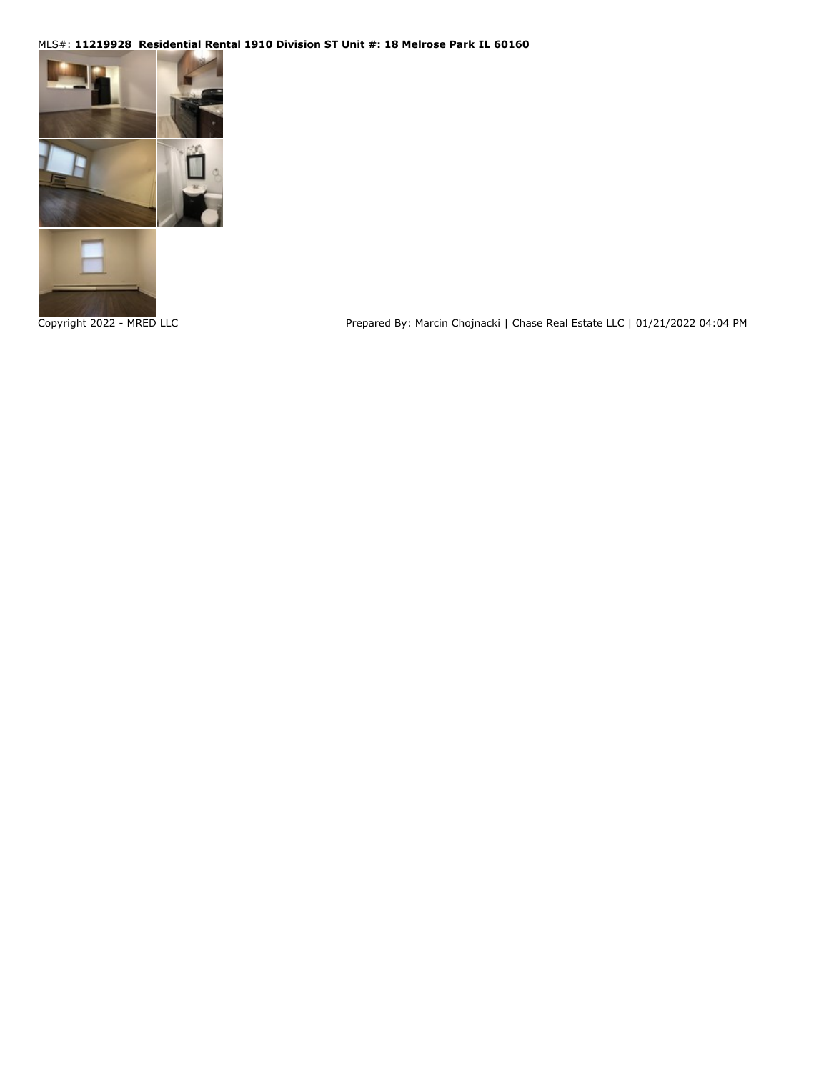## MLS#: **11219928 Residential Rental 1910 Division ST Unit #: 18 Melrose Park IL 60160**



Copyright 2022 - MRED LLC **Prepared By: Marcin Chojnacki | Chase Real Estate LLC | 01/21/2022 04:04 PM**